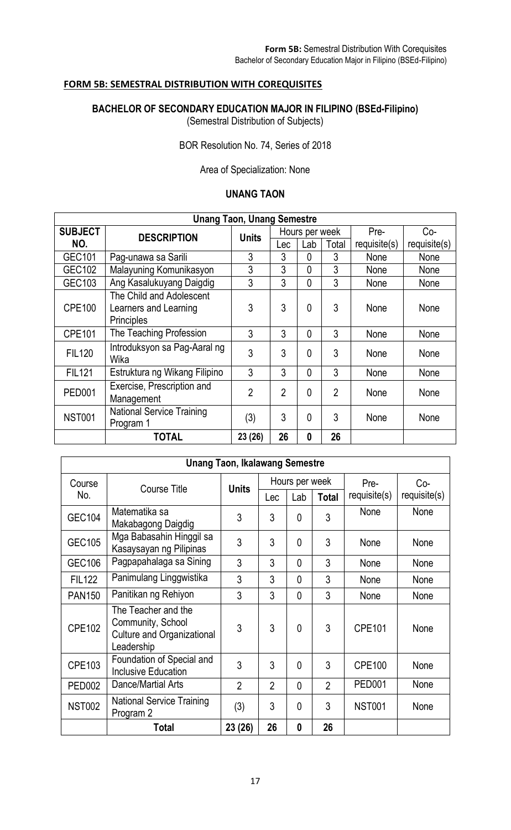## **FORM 5B: SEMESTRAL DISTRIBUTION WITH COREQUISITES**

**BACHELOR OF SECONDARY EDUCATION MAJOR IN FILIPINO (BSEd-Filipino)** (Semestral Distribution of Subjects)

BOR Resolution No. 74, Series of 2018

Area of Specialization: None

## **UNANG TAON**

| <b>Unang Taon, Unang Semestre</b> |                                                                        |                                |                |          |                |            |             |  |  |  |
|-----------------------------------|------------------------------------------------------------------------|--------------------------------|----------------|----------|----------------|------------|-------------|--|--|--|
| <b>SUBJECT</b>                    | <b>DESCRIPTION</b>                                                     | Hours per week<br><b>Units</b> |                |          | Pre-           | Co-        |             |  |  |  |
| NO.                               |                                                                        |                                | Lec            | Lab      | Total          | require(s) | requires(s) |  |  |  |
| GEC101                            | Pag-unawa sa Sarili                                                    | 3                              | 3              | $\Omega$ | 3              | None       | None        |  |  |  |
| <b>GEC102</b>                     | Malayuning Komunikasyon                                                | 3                              | 3              | $\Omega$ | 3              | None       | None        |  |  |  |
| GEC103                            | Ang Kasalukuyang Daigdig                                               | 3                              | 3              | $\Omega$ | 3              | None       | None        |  |  |  |
| <b>CPE100</b>                     | The Child and Adolescent<br>Learners and Learning<br><b>Principles</b> | 3                              | 3              | $\Omega$ | 3              | None       | None        |  |  |  |
| <b>CPE101</b>                     | The Teaching Profession                                                | 3                              | 3              | $\Omega$ | 3              | None       | None        |  |  |  |
| <b>FIL120</b>                     | Introduksyon sa Pag-Aaral ng<br>Wika                                   | 3                              | 3              | $\Omega$ | 3              | None       | None        |  |  |  |
| <b>FIL121</b>                     | Estruktura ng Wikang Filipino                                          | 3                              | 3              | $\Omega$ | 3              | None       | None        |  |  |  |
| <b>PED001</b>                     | Exercise, Prescription and<br>Management                               | $\overline{2}$                 | $\overline{2}$ | $\Omega$ | $\overline{2}$ | None       | None        |  |  |  |
| <b>NST001</b>                     | <b>National Service Training</b><br>Program 1                          | (3)                            | 3              | $\Omega$ | 3              | None       | None        |  |  |  |
|                                   | <b>TOTAL</b>                                                           | 23 (26)                        | 26             | $\bf{0}$ | 26             |            |             |  |  |  |

| <b>Unang Taon, Ikalawang Semestre</b> |                                                                                      |                                |                |                |                |               |            |  |  |
|---------------------------------------|--------------------------------------------------------------------------------------|--------------------------------|----------------|----------------|----------------|---------------|------------|--|--|
| Course<br><b>Course Title</b>         |                                                                                      | Hours per week<br><b>Units</b> |                |                |                | Pre-          | $Co-$      |  |  |
| No.                                   |                                                                                      |                                | Lec            | Lab            | <b>Total</b>   | require(s)    | require(s) |  |  |
| <b>GEC104</b>                         | Matematika sa<br>Makabagong Daigdig                                                  | 3                              | 3              | 0              | 3              | None          | None       |  |  |
| <b>GEC105</b>                         | Mga Babasahin Hinggil sa<br>Kasaysayan ng Pilipinas                                  | 3                              | 3              | $\Omega$       | 3              | None          | None       |  |  |
| <b>GEC106</b>                         | Pagpapahalaga sa Sining                                                              | 3                              | 3              | $\mathbf{0}$   | 3              | None          | None       |  |  |
| <b>FIL122</b>                         | Panimulang Linggwistika                                                              | 3                              | 3              | $\overline{0}$ | 3              | None          | None       |  |  |
| <b>PAN150</b>                         | Panitikan ng Rehiyon                                                                 | 3                              | 3              | $\Omega$       | 3              | None          | None       |  |  |
| <b>CPE102</b>                         | The Teacher and the<br>Community, School<br>Culture and Organizational<br>Leadership | 3                              | 3              | $\mathbf{0}$   | 3              | CPE101        | None       |  |  |
| CPE103                                | Foundation of Special and<br><b>Inclusive Education</b>                              | 3                              | 3              | 0              | 3              | <b>CPE100</b> | None       |  |  |
| <b>PED002</b>                         | Dance/Martial Arts                                                                   | $\overline{2}$                 | $\overline{2}$ | $\mathbf{0}$   | $\overline{2}$ | <b>PED001</b> | None       |  |  |
| <b>NST002</b>                         | <b>National Service Training</b><br>Program 2                                        | (3)                            | 3              | $\Omega$       | 3              | <b>NST001</b> | None       |  |  |
|                                       | <b>Total</b>                                                                         | 23 (26)                        | 26             | 0              | 26             |               |            |  |  |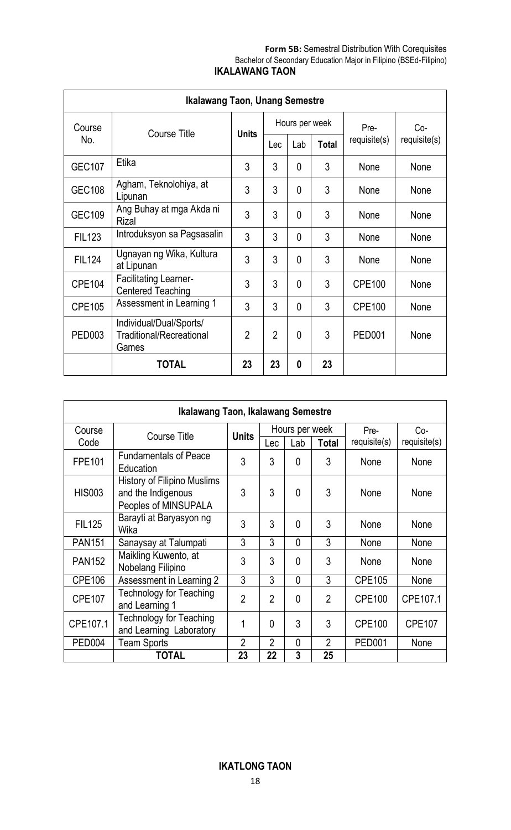## **Form 5B:** Semestral Distribution With Corequisites Bachelor of Secondary Education Major in Filipino (BSEd-Filipino) **IKALAWANG TAON**

| <b>Ikalawang Taon, Unang Semestre</b> |                                                                     |                |                |                |              |               |              |  |  |  |
|---------------------------------------|---------------------------------------------------------------------|----------------|----------------|----------------|--------------|---------------|--------------|--|--|--|
| Course                                |                                                                     | <b>Units</b>   |                | Hours per week |              | Pre-          | Co-          |  |  |  |
| No.                                   | Course Title                                                        |                | Lec            | Lab            | <b>Total</b> | require(s)    | requisite(s) |  |  |  |
| <b>GEC107</b>                         | Etika                                                               | 3              | 3              | $\mathbf{0}$   | 3            | None          | None         |  |  |  |
| <b>GEC108</b>                         | Agham, Teknolohiya, at<br>Lipunan                                   | 3              | 3              | $\Omega$       | 3            | None          | None         |  |  |  |
| <b>GEC109</b>                         | Ang Buhay at mga Akda ni<br>Rizal                                   | 3              | 3              | 0              | 3            | None          | None         |  |  |  |
| <b>FIL123</b>                         | Introduksyon sa Pagsasalin                                          | 3              | 3              | 0              | 3            | None          | None         |  |  |  |
| <b>FIL124</b>                         | Ugnayan ng Wika, Kultura<br>at Lipunan                              | 3              | 3              | 0              | 3            | None          | None         |  |  |  |
| <b>CPE104</b>                         | <b>Facilitating Learner-</b><br><b>Centered Teaching</b>            | 3              | 3              | 0              | 3            | <b>CPE100</b> | None         |  |  |  |
| <b>CPE105</b>                         | Assessment in Learning 1                                            | 3              | 3              | $\mathbf{0}$   | 3            | <b>CPE100</b> | None         |  |  |  |
| <b>PED003</b>                         | Individual/Dual/Sports/<br><b>Traditional/Recreational</b><br>Games | $\overline{2}$ | $\overline{2}$ | $\mathbf{0}$   | 3            | <b>PED001</b> | None         |  |  |  |
|                                       | <b>TOTAL</b>                                                        | 23             | 23             | 0              | 23           |               |              |  |  |  |

| Ikalawang Taon, Ikalawang Semestre |                                                                           |                |                |                |                |               |               |  |  |  |
|------------------------------------|---------------------------------------------------------------------------|----------------|----------------|----------------|----------------|---------------|---------------|--|--|--|
| Course                             | Course Title                                                              |                |                | Hours per week |                | Pre-          | $Co-$         |  |  |  |
| Code                               |                                                                           | <b>Units</b>   | Lec            | Lab            | <b>Total</b>   | requisite(s)  | requisite(s)  |  |  |  |
| <b>FPE101</b>                      | <b>Fundamentals of Peace</b><br>Education                                 | 3              | 3              | $\mathbf{0}$   | 3              | None          | None          |  |  |  |
| <b>HIS003</b>                      | History of Filipino Muslims<br>and the Indigenous<br>Peoples of MINSUPALA | 3              | 3              | $\Omega$       | 3              | None          | None          |  |  |  |
| <b>FIL125</b>                      | Barayti at Baryasyon ng<br>Wika                                           | 3              | 3              | $\mathbf{0}$   | 3              | None          | None          |  |  |  |
| <b>PAN151</b>                      | Sanaysay at Talumpati                                                     | 3              | 3              | $\mathbf{0}$   | 3              | None          | None          |  |  |  |
| <b>PAN152</b>                      | Maikling Kuwento, at<br>Nobelang Filipino                                 | 3              | 3              | $\mathbf{0}$   | 3              | None          | None          |  |  |  |
| <b>CPE106</b>                      | Assessment in Learning 2                                                  | 3              | 3              | $\mathbf{0}$   | 3              | <b>CPE105</b> | None          |  |  |  |
| <b>CPE107</b>                      | <b>Technology for Teaching</b><br>and Learning 1                          | $\overline{2}$ | $\mathfrak{p}$ | $\theta$       | $\overline{2}$ | <b>CPE100</b> | CPE107.1      |  |  |  |
| CPE107.1                           | <b>Technology for Teaching</b><br>and Learning Laboratory                 | 1              | $\Omega$       | 3              | 3              | <b>CPE100</b> | <b>CPE107</b> |  |  |  |
| PED <sub>004</sub>                 | <b>Team Sports</b>                                                        | $\overline{2}$ | $\overline{2}$ | $\mathbf{0}$   | $\overline{2}$ | <b>PED001</b> | None          |  |  |  |
|                                    | TOTAL                                                                     | 23             | 22             | 3              | 25             |               |               |  |  |  |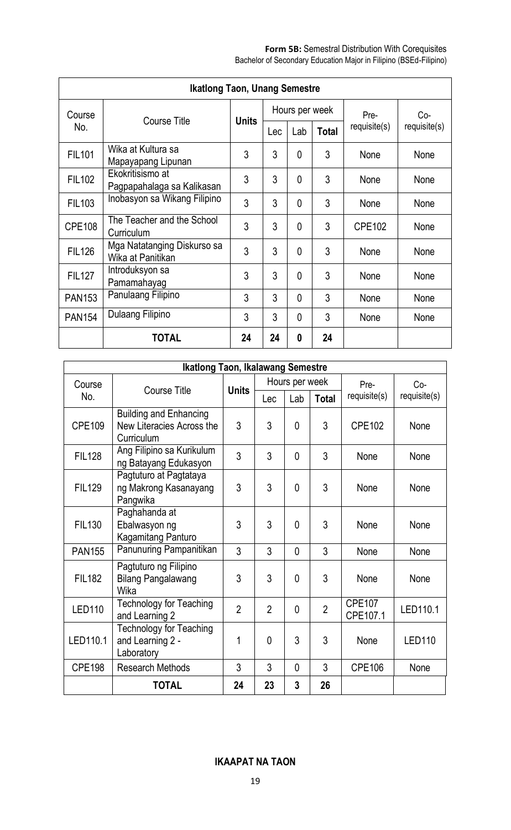| <b>Ikatlong Taon, Unang Semestre</b> |                                                  |              |     |                |              |               |            |  |  |  |
|--------------------------------------|--------------------------------------------------|--------------|-----|----------------|--------------|---------------|------------|--|--|--|
| Course                               | Course Title                                     | <b>Units</b> |     | Hours per week |              | Pre-          | Co-        |  |  |  |
| No.                                  |                                                  |              | Lec | Lab            | <b>Total</b> | requisite(s)  | require(s) |  |  |  |
| <b>FIL101</b>                        | Wika at Kultura sa<br>Mapayapang Lipunan         | 3            | 3   | 0              | 3            | None          | None       |  |  |  |
| <b>FIL102</b>                        | Ekokritisismo at<br>Pagpapahalaga sa Kalikasan   | 3            | 3   | $\Omega$       | 3            | None          | None       |  |  |  |
| <b>FIL103</b>                        | Inobasyon sa Wikang Filipino                     | 3            | 3   | $\Omega$       | 3            | None          | None       |  |  |  |
| <b>CPE108</b>                        | The Teacher and the School<br>Curriculum         | 3            | 3   | $\Omega$       | 3            | <b>CPE102</b> | None       |  |  |  |
| <b>FIL126</b>                        | Mga Natatanging Diskurso sa<br>Wika at Panitikan | 3            | 3   | $\mathbf{0}$   | 3            | None          | None       |  |  |  |
| <b>FIL127</b>                        | Introduksyon sa<br>Pamamahayag                   | 3            | 3   | $\Omega$       | 3            | None          | None       |  |  |  |
| <b>PAN153</b>                        | Panulaang Filipino                               | 3            | 3   | $\Omega$       | 3            | None          | None       |  |  |  |
| <b>PAN154</b>                        | Dulaang Filipino                                 | 3            | 3   | $\Omega$       | 3            | None          | None       |  |  |  |
|                                      | TOTAL                                            | 24           | 24  | 0              | 24           |               |            |  |  |  |

| <b>Ikatlong Taon, Ikalawang Semestre</b> |                                                                          |                |                |              |                |                           |               |  |  |  |
|------------------------------------------|--------------------------------------------------------------------------|----------------|----------------|--------------|----------------|---------------------------|---------------|--|--|--|
| Course                                   | <b>Course Title</b>                                                      |                | Hours per week |              |                | Pre-                      | $Co-$         |  |  |  |
| No.                                      |                                                                          | <b>Units</b>   | Lec            | Lab          | <b>Total</b>   | requisite(s)              | requisite(s)  |  |  |  |
| <b>CPE109</b>                            | <b>Building and Enhancing</b><br>New Literacies Across the<br>Curriculum | 3              | 3              | 0            | 3              | <b>CPE102</b>             | None          |  |  |  |
| <b>FIL128</b>                            | Ang Filipino sa Kurikulum<br>ng Batayang Edukasyon                       | 3              | 3              | $\Omega$     | 3              | None                      | None          |  |  |  |
| <b>FIL129</b>                            | Pagtuturo at Pagtataya<br>ng Makrong Kasanayang<br>Pangwika              | 3              | 3              | $\mathbf{0}$ | 3              | None                      | None          |  |  |  |
| <b>FIL130</b>                            | Paghahanda at<br>Ebalwasyon ng<br>Kagamitang Panturo                     | 3              | 3              | 0            | 3              | None                      | None          |  |  |  |
| <b>PAN155</b>                            | Panunuring Pampanitikan                                                  | 3              | 3              | 0            | 3              | None                      | None          |  |  |  |
| <b>FIL182</b>                            | Pagtuturo ng Filipino<br><b>Bilang Pangalawang</b><br>Wika               | 3              | 3              | 0            | 3              | None                      | None          |  |  |  |
| <b>LED110</b>                            | <b>Technology for Teaching</b><br>and Learning 2                         | $\overline{2}$ | $\overline{2}$ | 0            | $\overline{2}$ | <b>CPE107</b><br>CPE107.1 | LED110.1      |  |  |  |
| LED110.1                                 | <b>Technology for Teaching</b><br>and Learning 2 -<br>Laboratory         | 1              | $\mathbf{0}$   | 3            | 3              | None                      | <b>LED110</b> |  |  |  |
| <b>CPE198</b>                            | <b>Research Methods</b>                                                  | 3              | 3              | 0            | 3              | <b>CPE106</b>             | None          |  |  |  |
|                                          | TOTAL                                                                    | 24             | 23             | 3            | 26             |                           |               |  |  |  |